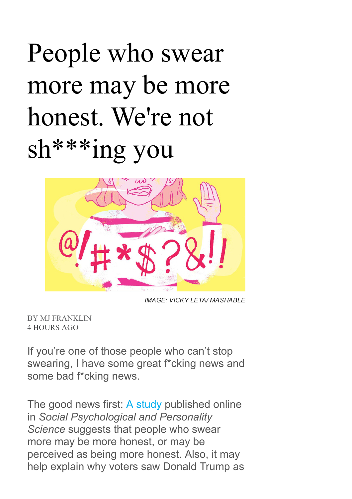## People who swear more may be more honest. We're not sh\*\*\*ing you



IMAGE: VICKY LETA/ MASHABLE

BY MJ [FRANKLIN](http://mashable.com/author/mj-franklin/) 4 HOURS AGO

If you're one of those people who can't stop swearing, I have some great f\*cking news and some bad f\*cking news.

The good news first: A [study](http://journals.sagepub.com/doi/full/10.1177/1948550616681055) published online in Social Psychological and Personality Science suggests that people who swear more may be more honest, or may be perceived as being more honest. Also, it may help explain why voters saw Donald Trump as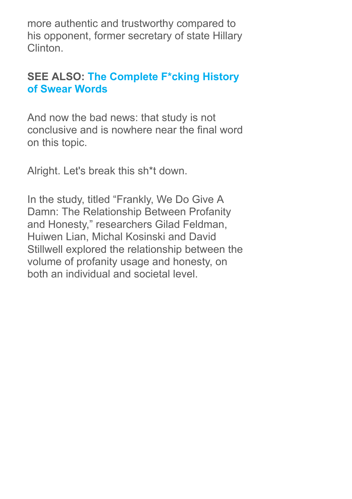more authentic and trustworthy compared to his opponent, former secretary of state Hillary Clinton.

## SEE ALSO: The [Complete](http://mashable.com/2014/09/11/swear-words-history/) F\*cking History of Swear Words

And now the bad news: that study is not conclusive and is nowhere near the final word on this topic.

Alright. Let's break this sh\*t down.

In the study, titled "Frankly, We Do Give A Damn: The Relationship Between Profanity and Honesty," researchers Gilad Feldman, Huiwen Lian, Michal Kosinski and David Stillwell explored the relationship between the volume of profanity usage and honesty, on both an individual and societal level.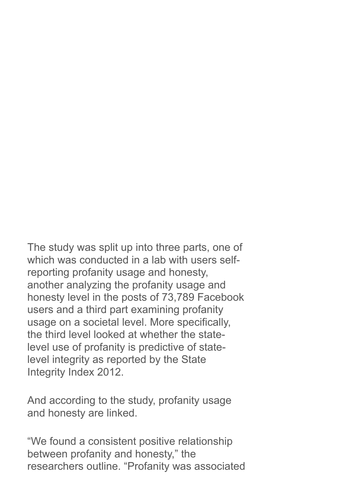The study was split up into three parts, one of which was conducted in a lab with users selfreporting profanity usage and honesty, another analyzing the profanity usage and honesty level in the posts of 73,789 Facebook users and a third part examining profanity usage on a societal level. More specifically, the third level looked at whether the statelevel use of profanity is predictive of statelevel integrity as reported by the State Integrity Index 2012.

And according to the study, profanity usage and honesty are linked.

"We found a consistent positive relationship between profanity and honesty," the researchers outline. "Profanity was associated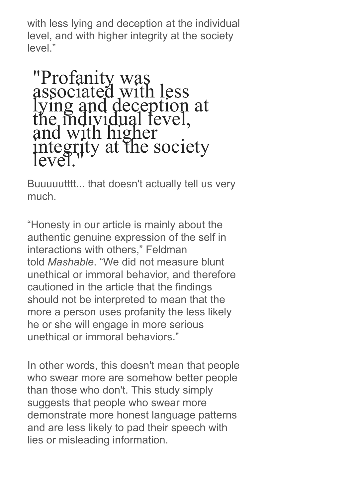with less lying and deception at the individual level, and with higher integrity at the society level."

"Profanity was associated with less lying and deception at the individual level, and with higher integrity at the society level."

Buuuuutttt... that doesn't actually tell us very much.

"Honesty in our article is mainly about the authentic genuine expression of the self in interactions with others," Feldman told Mashable. "We did not measure blunt unethical or immoral behavior, and therefore cautioned in the article that the findings should not be interpreted to mean that the more a person uses profanity the less likely he or she will engage in more serious unethical or immoral behaviors."

In other words, this doesn't mean that people who swear more are somehow better people than those who don't. This study simply suggests that people who swear more demonstrate more honest language patterns and are less likely to pad their speech with lies or misleading information.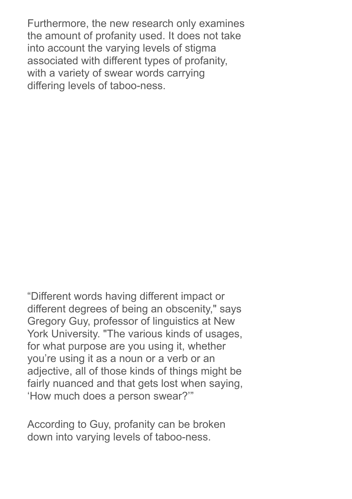Furthermore, the new research only examines the amount of profanity used. It does not take into account the varying levels of stigma associated with different types of profanity, with a variety of swear words carrying differing levels of taboo-ness.

"Different words having different impact or different degrees of being an obscenity," says Gregory Guy, professor of linguistics at New York University. "The various kinds of usages, for what purpose are you using it, whether you're using it as a noun or a verb or an adjective, all of those kinds of things might be fairly nuanced and that gets lost when saying, 'How much does a person swear?'"

According to Guy, profanity can be broken down into varying levels of taboo-ness.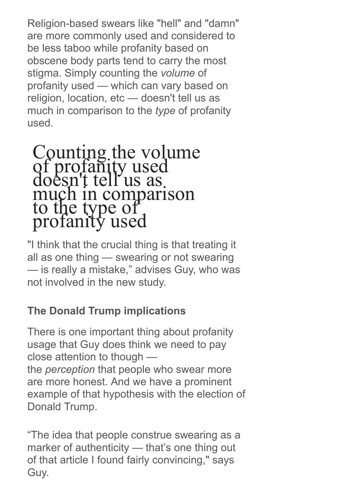Religion-based swears like "hell" and "damn" are more commonly used and considered to be less taboo while profanity based on obscene body parts tend to carry the most stigma. Simply counting the volume of profanity used — which can vary based on religion, location, etc — doesn't tell us as much in comparison to the type of profanity used.

## Counting the volume of profanity used doesn't tell us as much in comparison to the type of profanity used

"I think that the crucial thing is that treating it all as one thing — swearing or not swearing — is really a mistake," advises Guy, who was not involved in the new study.

## The Donald Trump implications

There is one important thing about profanity usage that Guy does think we need to pay close attention to though the perception that people who swear more are more honest. And we have a prominent example of that hypothesis with the election of Donald Trump.

"The idea that people construe swearing as a marker of authenticity — that's one thing out of that article I found fairly convincing," says Guy.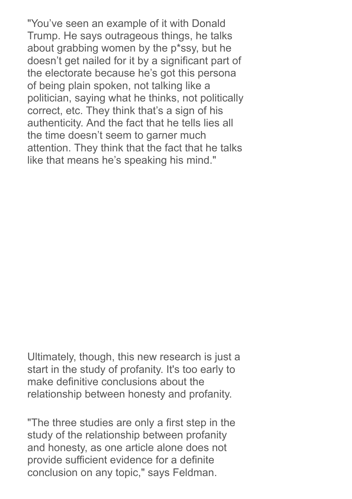"You've seen an example of it with Donald Trump. He says outrageous things, he talks about grabbing women by the p\*ssy, but he doesn't get nailed for it by a significant part of the electorate because he's got this persona of being plain spoken, not talking like a politician, saying what he thinks, not politically correct, etc. They think that's a sign of his authenticity. And the fact that he tells lies all the time doesn't seem to garner much attention. They think that the fact that he talks like that means he's speaking his mind."

Ultimately, though, this new research is just a start in the study of profanity. It's too early to make definitive conclusions about the relationship between honesty and profanity.

"The three studies are only a first step in the study of the relationship between profanity and honesty, as one article alone does not provide sufficient evidence for a definite conclusion on any topic," says Feldman.